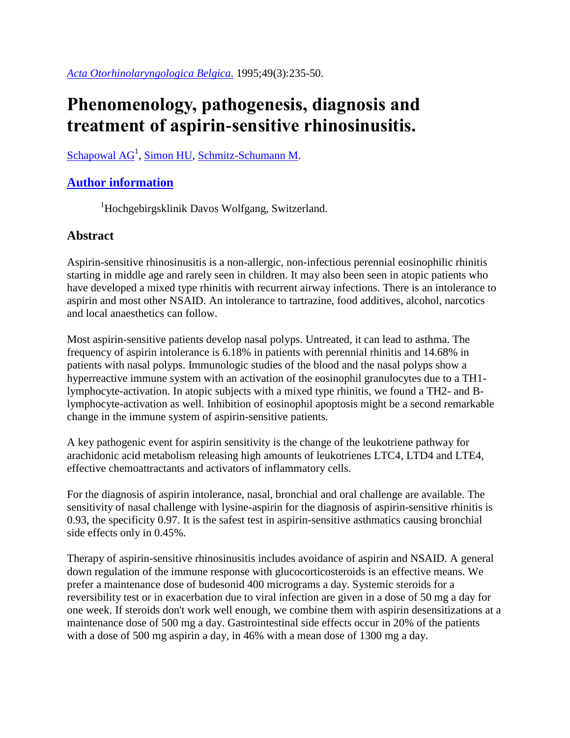## **Phenomenology, pathogenesis, diagnosis and treatment of aspirin-sensitive rhinosinusitis.**

[Schapowal](https://www.ncbi.nlm.nih.gov/pubmed/?term=Schapowal%20AG%5BAuthor%5D&cauthor=true&cauthor_uid=7484142) AG<sup>1</sup>, [Simon HU,](https://www.ncbi.nlm.nih.gov/pubmed/?term=Simon%20HU%5BAuthor%5D&cauthor=true&cauthor_uid=7484142) [Schmitz-Schumann M.](https://www.ncbi.nlm.nih.gov/pubmed/?term=Schmitz-Schumann%20M%5BAuthor%5D&cauthor=true&cauthor_uid=7484142)

## **[Author information](https://www.ncbi.nlm.nih.gov/pubmed/7484142)**

<sup>1</sup>Hochgebirgsklinik Davos Wolfgang, Switzerland.

## **Abstract**

Aspirin-sensitive rhinosinusitis is a non-allergic, non-infectious perennial eosinophilic rhinitis starting in middle age and rarely seen in children. It may also been seen in atopic patients who have developed a mixed type rhinitis with recurrent airway infections. There is an intolerance to aspirin and most other NSAID. An intolerance to tartrazine, food additives, alcohol, narcotics and local anaesthetics can follow.

Most aspirin-sensitive patients develop nasal polyps. Untreated, it can lead to asthma. The frequency of aspirin intolerance is 6.18% in patients with perennial rhinitis and 14.68% in patients with nasal polyps. Immunologic studies of the blood and the nasal polyps show a hyperreactive immune system with an activation of the eosinophil granulocytes due to a TH1 lymphocyte-activation. In atopic subjects with a mixed type rhinitis, we found a TH2- and Blymphocyte-activation as well. Inhibition of eosinophil apoptosis might be a second remarkable change in the immune system of aspirin-sensitive patients.

A key pathogenic event for aspirin sensitivity is the change of the leukotriene pathway for arachidonic acid metabolism releasing high amounts of leukotrienes LTC4, LTD4 and LTE4, effective chemoattractants and activators of inflammatory cells.

For the diagnosis of aspirin intolerance, nasal, bronchial and oral challenge are available. The sensitivity of nasal challenge with lysine-aspirin for the diagnosis of aspirin-sensitive rhinitis is 0.93, the specificity 0.97. It is the safest test in aspirin-sensitive asthmatics causing bronchial side effects only in 0.45%.

Therapy of aspirin-sensitive rhinosinusitis includes avoidance of aspirin and NSAID. A general down regulation of the immune response with glucocorticosteroids is an effective means. We prefer a maintenance dose of budesonid 400 micrograms a day. Systemic steroids for a reversibility test or in exacerbation due to viral infection are given in a dose of 50 mg a day for one week. If steroids don't work well enough, we combine them with aspirin desensitizations at a maintenance dose of 500 mg a day. Gastrointestinal side effects occur in 20% of the patients with a dose of 500 mg aspirin a day, in 46% with a mean dose of 1300 mg a day.